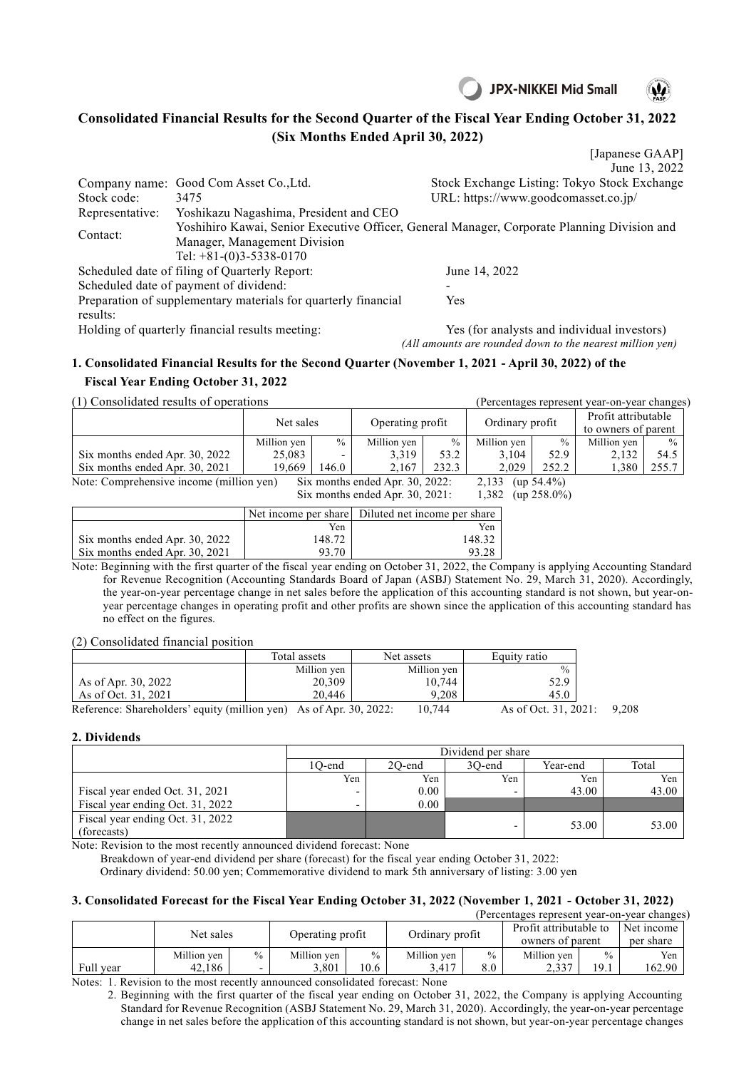



## **Consolidated Financial Results for the Second Quarter of the Fiscal Year Ending October 31, 2022 (Six Months Ended April 30, 2022)**

[Japanese GAAP] June 13, 2022 Company name: Good Com Asset Co.,Ltd. Stock Exchange Listing: Tokyo Stock Exchange Stock code: 3475 URL: https://www.goodcomasset.co.jp/ Representative: Yoshikazu Nagashima, President and CEO Contact: Yoshihiro Kawai, Senior Executive Officer, General Manager, Corporate Planning Division and Manager, Management Division Tel: +81-(0)3-5338-0170 Scheduled date of filing of Quarterly Report: June 14, 2022 Scheduled date of payment of dividend: Preparation of supplementary materials for quarterly financial results: Yes Holding of quarterly financial results meeting: Yes (for analysts and individual investors) *(All amounts are rounded down to the nearest million yen)*

## **1. Consolidated Financial Results for the Second Quarter (November 1, 2021 - April 30, 2022) of the Fiscal Year Ending October 31, 2022**

(1) Consolidated results of operations (Percentages represent year-on-year changes)

|                                          | Net sales            |               | Operating profit                |       | Ordinary profit |                | Profit attributable |               |
|------------------------------------------|----------------------|---------------|---------------------------------|-------|-----------------|----------------|---------------------|---------------|
|                                          |                      |               |                                 |       |                 |                | to owners of parent |               |
|                                          | Million yen          | $\frac{0}{0}$ | Million yen                     | $\%$  | Million yen     | $\frac{0}{0}$  | Million yen         | $\frac{0}{0}$ |
| Six months ended Apr. 30, 2022           | 25,083               |               | 3,319                           | 53.2  | 3.104           | 52.9           | 2,132               | 54.5          |
| Six months ended Apr. 30, 2021           | 19.669               | 146.0         | 2,167                           | 232.3 | 2,029           | 252.2          | 1,380               | 255.7         |
| Note: Comprehensive income (million yen) |                      |               | Six months ended Apr. 30, 2022: |       | 2,133           | $(up 54.4\%)$  |                     |               |
|                                          |                      |               | Six months ended Apr. 30, 2021: |       | 1,382           | $(up 258.0\%)$ |                     |               |
|                                          | Net income per share |               | Diluted net income per share    |       |                 |                |                     |               |
|                                          |                      | Yen           |                                 |       | Yen             |                |                     |               |
| Six months ended Apr. 30, 2022           |                      | 148.72        |                                 |       | 148.32          |                |                     |               |
| Six months ended Apr. 30, 2021           |                      | 93.70         |                                 |       | 93.28           |                |                     |               |

Note: Beginning with the first quarter of the fiscal year ending on October 31, 2022, the Company is applying Accounting Standard for Revenue Recognition (Accounting Standards Board of Japan (ASBJ) Statement No. 29, March 31, 2020). Accordingly, the year-on-year percentage change in net sales before the application of this accounting standard is not shown, but year-onyear percentage changes in operating profit and other profits are shown since the application of this accounting standard has no effect on the figures.

(2) Consolidated financial position

|                                                                    | Total assets | Net assets  | Equity ratio         |       |
|--------------------------------------------------------------------|--------------|-------------|----------------------|-------|
|                                                                    | Million yen  | Million yen | $\frac{0}{0}$        |       |
| As of Apr. 30, 2022                                                | 20,309       | 10.744      | 52.9                 |       |
| As of Oct. 31, 2021                                                | 20,446       | 9.208       | 45.0                 |       |
| Reference: Shareholders' equity (million yen) As of Apr. 30, 2022: |              | 10.744      | As of Oct. 31, 2021: | 9.208 |

## **2. Dividends**

|                                                 | Dividend per share |          |                          |          |       |  |  |  |
|-------------------------------------------------|--------------------|----------|--------------------------|----------|-------|--|--|--|
|                                                 | 1O-end             | 20-end   | 30-end                   | Year-end | Total |  |  |  |
|                                                 | Yen                | Yen      | Yen                      | Yen      | Yen   |  |  |  |
| Fiscal year ended Oct. 31, 2021                 |                    | $0.00\,$ | $\overline{\phantom{0}}$ | 43.00    | 43.00 |  |  |  |
| Fiscal year ending Oct. 31, 2022                |                    | 0.00     |                          |          |       |  |  |  |
| Fiscal year ending Oct. 31, 2022<br>(forecasts) |                    |          |                          | 53.00    | 53.00 |  |  |  |

Note: Revision to the most recently announced dividend forecast: None

Breakdown of year-end dividend per share (forecast) for the fiscal year ending October 31, 2022:

Ordinary dividend: 50.00 yen; Commemorative dividend to mark 5th anniversary of listing: 3.00 yen

## **3. Consolidated Forecast for the Fiscal Year Ending October 31, 2022 (November 1, 2021 - October 31, 2022)** (Percentages represent year-on-year changes)

|           | refecentages represent year-on-year changes |               |                      |                       |                      |                      |                                            |                       |                         |  |
|-----------|---------------------------------------------|---------------|----------------------|-----------------------|----------------------|----------------------|--------------------------------------------|-----------------------|-------------------------|--|
|           | Net sales                                   |               | Operating profit     |                       | Ordinary profit      |                      | Profit attributable to<br>owners of parent |                       | Net income<br>per share |  |
| Full year | Million yen<br>42.186                       | $\frac{0}{0}$ | Million ven<br>3.801 | $\frac{0}{0}$<br>10.6 | Million yen<br>3.417 | $\frac{0}{0}$<br>8.0 | Million yen<br>2.337                       | $\frac{0}{0}$<br>19.1 | Yen<br>162.90           |  |

Notes: 1. Revision to the most recently announced consolidated forecast: None

2. Beginning with the first quarter of the fiscal year ending on October 31, 2022, the Company is applying Accounting Standard for Revenue Recognition (ASBJ Statement No. 29, March 31, 2020). Accordingly, the year-on-year percentage change in net sales before the application of this accounting standard is not shown, but year-on-year percentage changes